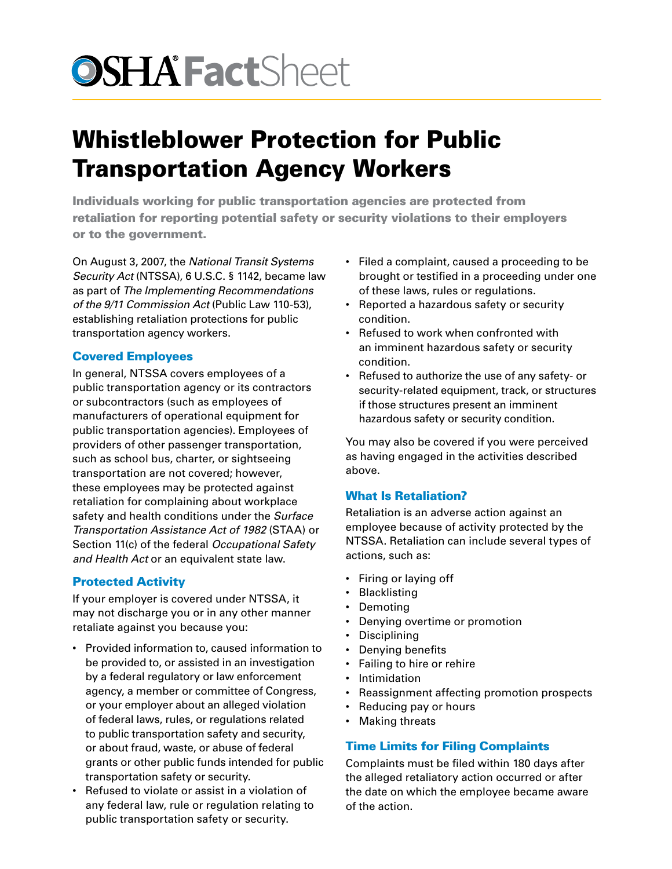# **OSHA Fact**Sheet

# Whistleblower Protection for Public Transportation Agency Workers

Individuals working for public transportation agencies are protected from retaliation for reporting potential safety or security violations to their employers or to the government.

On August 3, 2007, the *National Transit Systems Security Act* (NTSSA), 6 U.S.C. § 1142, became law as part of *The Implementing Recommendations of the 9/11 Commission Act* (Public Law 110-53), establishing retaliation protections for public transportation agency workers.

# Covered Employees

In general, NTSSA covers employees of a public transportation agency or its contractors or subcontractors (such as employees of manufacturers of operational equipment for public transportation agencies). Employees of providers of other passenger transportation, such as school bus, charter, or sightseeing transportation are not covered; however, these employees may be protected against retaliation for complaining about workplace safety and health conditions under the *Surface Transportation Assistance Act of 1982* (STAA) or Section 11(c) of the federal *Occupational Safety and Health Act* or an equivalent state law.

## Protected Activity

If your employer is covered under NTSSA, it may not discharge you or in any other manner retaliate against you because you:

- Provided information to, caused information to be provided to, or assisted in an investigation by a federal regulatory or law enforcement agency, a member or committee of Congress, or your employer about an alleged violation of federal laws, rules, or regulations related to public transportation safety and security, or about fraud, waste, or abuse of federal grants or other public funds intended for public transportation safety or security.
- Refused to violate or assist in a violation of any federal law, rule or regulation relating to public transportation safety or security.
- Filed a complaint, caused a proceeding to be brought or testified in a proceeding under one of these laws, rules or regulations.
- Reported a hazardous safety or security condition.
- Refused to work when confronted with an imminent hazardous safety or security condition.
- Refused to authorize the use of any safety- or security-related equipment, track, or structures if those structures present an imminent hazardous safety or security condition.

You may also be covered if you were perceived as having engaged in the activities described above.

## What Is Retaliation?

Retaliation is an adverse action against an employee because of activity protected by the NTSSA. Retaliation can include several types of actions, such as:

- Firing or laying off
- Blacklisting
- Demoting
- Denying overtime or promotion
- Disciplining
- Denying benefits
- Failing to hire or rehire
- Intimidation
- Reassignment affecting promotion prospects
- Reducing pay or hours
- Making threats

## Time Limits for Filing Complaints

Complaints must be filed within 180 days after the alleged retaliatory action occurred or after the date on which the employee became aware of the action.